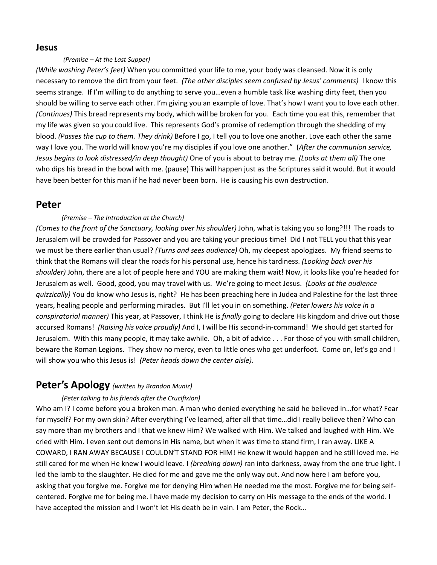### **Jesus**

#### *(Premise – At the Last Supper)*

*(While washing Peter's feet)* When you committed your life to me, your body was cleansed. Now it is only necessary to remove the dirt from your feet. *(The other disciples seem confused by Jesus' comments)* I know this seems strange. If I'm willing to do anything to serve you…even a humble task like washing dirty feet, then you should be willing to serve each other. I'm giving you an example of love. That's how I want you to love each other. *(Continues)* This bread represents my body, which will be broken for you. Each time you eat this, remember that my life was given so you could live. This represents God's promise of redemption through the shedding of my blood. *(Passes the cup to them. They drink)* Before I go, I tell you to love one another. Love each other the same way I love you. The world will know you're my disciples if you love one another." (*After the communion service, Jesus begins to look distressed/in deep thought)* One of you is about to betray me. *(Looks at them all)* The one who dips his bread in the bowl with me. (pause) This will happen just as the Scriptures said it would. But it would have been better for this man if he had never been born. He is causing his own destruction.

# **Peter**

#### *(Premise – The Introduction at the Church)*

*(Comes to the front of the Sanctuary, looking over his shoulder)* John, what is taking you so long?!!! The roads to Jerusalem will be crowded for Passover and you are taking your precious time! Did I not TELL you that this year we must be there earlier than usual? *(Turns and sees audience)* Oh, my deepest apologizes. My friend seems to think that the Romans will clear the roads for his personal use, hence his tardiness. *(Looking back over his shoulder)* John, there are a lot of people here and YOU are making them wait! Now, it looks like you're headed for Jerusalem as well. Good, good, you may travel with us. We're going to meet Jesus. *(Looks at the audience quizzically)* You do know who Jesus is, right? He has been preaching here in Judea and Palestine for the last three years, healing people and performing miracles. But I'll let you in on something. *(Peter lowers his voice in a conspiratorial manner)* This year, at Passover, I think He is *finally* going to declare His kingdom and drive out those accursed Romans! *(Raising his voice proudly)* And I, I will be His second-in-command! We should get started for Jerusalem. With this many people, it may take awhile. Oh, a bit of advice . . . For those of you with small children, beware the Roman Legions. They show no mercy, even to little ones who get underfoot. Come on, let's go and I will show you who this Jesus is! *(Peter heads down the center aisle)*.

# **Peter's Apology** *(written by Brandon Muniz)*

#### *(Peter talking to his friends after the Crucifixion)*

Who am I? I come before you a broken man. A man who denied everything he said he believed in...for what? Fear for myself? For my own skin? After everything I've learned, after all that time…did I really believe then? Who can say more than my brothers and I that we knew Him? We walked with Him. We talked and laughed with Him. We cried with Him. I even sent out demons in His name, but when it was time to stand firm, I ran away. LIKE A COWARD, I RAN AWAY BECAUSE I COULDN'T STAND FOR HIM! He knew it would happen and he still loved me. He still cared for me when He knew I would leave. I *(breaking down)* ran into darkness, away from the one true light. I led the lamb to the slaughter. He died for me and gave me the only way out. And now here I am before you, asking that you forgive me. Forgive me for denying Him when He needed me the most. Forgive me for being selfcentered. Forgive me for being me. I have made my decision to carry on His message to the ends of the world. I have accepted the mission and I won't let His death be in vain. I am Peter, the Rock…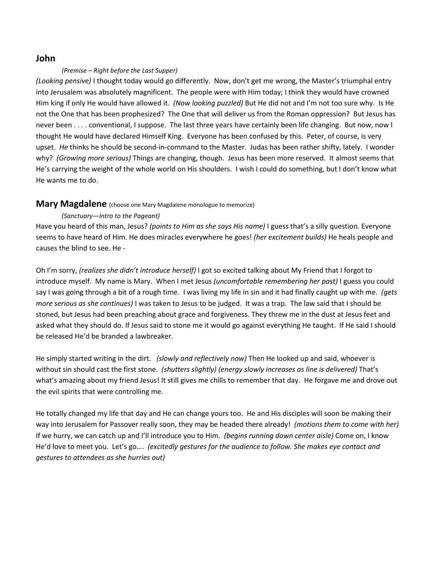# **John**

### *(Premise – Right before the Last Supper)*

*(Looking pensive)* I thought today would go differently. Now, don't get me wrong, the Master's triumphal entry into Jerusalem was absolutely magnificent. The people were with Him today; I think they would have crowned Him king if only He would have allowed it. *(Now looking puzzled)* But He did not and I'm not too sure why. Is He not the One that has been prophesized? The One that will deliver us from the Roman oppression? But Jesus has never been . . . . conventional, I suppose. The last three years have certainly been life changing. But now, now I thought He would have declared Himself King. Everyone has been confused by this. Peter, of course, is very upset. *He* thinks he should be second-in-command to the Master. Judas has been rather shifty, lately. I wonder why? *(Growing more serious)* Things are changing, though. Jesus has been more reserved. It almost seems that He's carrying the weight of the whole world on His shoulders. I wish I could do something, but I don't know what He wants me to do.

### **Mary Magdalene** (choose one Mary Magdalene monologue to memorize)

## *(Sanctuary—Intro to the Pageant)*

Have you heard of this man, Jesus? *(points to Him as she says His name)* I guess that's a silly question. Everyone seems to have heard of Him. He does miracles everywhere he goes! *(her excitement builds)* He heals people and causes the blind to see. He -

Oh I'm sorry, *(realizes she didn't introduce herself)* I got so excited talking about My Friend that I forgot to introduce myself. My name is Mary. When I met Jesus *(uncomfortable remembering her past)* I guess you could say I was going through a bit of a rough time. I was living my life in sin and it had finally caught up with me. *(gets more serious as she continues)* I was taken to Jesus to be judged. It was a trap. The law said that I should be stoned, but Jesus had been preaching about grace and forgiveness. They threw me in the dust at Jesus feet and asked what they should do. If Jesus said to stone me it would go against everything He taught. If He said I should be released He'd be branded a lawbreaker.

He simply started writing in the dirt. *(slowly and reflectively now)* Then He looked up and said, whoever is without sin should cast the first stone. *(shutters slightly) (energy slowly increases as line is delivered)* That's what's amazing about my friend Jesus! It still gives me chills to remember that day. He forgave me and drove out the evil spirits that were controlling me.

He totally changed my life that day and He can change yours too. He and His disciples will soon be making their way into Jerusalem for Passover really soon, they may be headed there already! *(motions them to come with her)* If we hurry, we can catch up and I'll introduce you to Him. *(begins running down center aisle)* Come on, I know He'd love to meet you. Let's go…. *(excitedly gestures for the audience to follow. She makes eye contact and gestures to attendees as she hurries out)*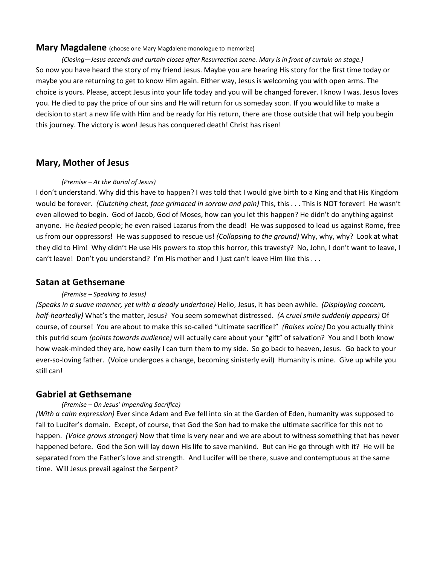### **Mary Magdalene** (choose one Mary Magdalene monologue to memorize)

*(Closing—Jesus ascends and curtain closes after Resurrection scene. Mary is in front of curtain on stage.)* So now you have heard the story of my friend Jesus. Maybe you are hearing His story for the first time today or maybe you are returning to get to know Him again. Either way, Jesus is welcoming you with open arms. The choice is yours. Please, accept Jesus into your life today and you will be changed forever. I know I was. Jesus loves you. He died to pay the price of our sins and He will return for us someday soon. If you would like to make a decision to start a new life with Him and be ready for His return, there are those outside that will help you begin this journey. The victory is won! Jesus has conquered death! Christ has risen!

# **Mary, Mother of Jesus**

#### *(Premise – At the Burial of Jesus)*

I don't understand. Why did this have to happen? I was told that I would give birth to a King and that His Kingdom would be forever. *(Clutching chest, face grimaced in sorrow and pain)* This, this . . . This is NOT forever! He wasn't even allowed to begin. God of Jacob, God of Moses, how can you let this happen? He didn't do anything against anyone. He *healed* people; he even raised Lazarus from the dead! He was supposed to lead us against Rome, free us from our oppressors! He was supposed to rescue us! *(Collapsing to the ground)* Why, why, why? Look at what they did to Him! Why didn't He use His powers to stop this horror, this travesty? No, John, I don't want to leave, I can't leave! Don't you understand? I'm His mother and I just can't leave Him like this . . .

### **Satan at Gethsemane**

#### *(Premise – Speaking to Jesus)*

*(Speaks in a suave manner, yet with a deadly undertone)* Hello, Jesus, it has been awhile. *(Displaying concern, half-heartedly)* What's the matter, Jesus? You seem somewhat distressed. *(A cruel smile suddenly appears)* Of course, of course! You are about to make this so-called "ultimate sacrifice!" *(Raises voice)* Do you actually think this putrid scum *(points towards audience)* will actually care about your "gift" of salvation? You and I both know how weak-minded they are, how easily I can turn them to my side. So go back to heaven, Jesus. Go back to your ever-so-loving father. (Voice undergoes a change, becoming sinisterly evil) Humanity is mine. Give up while you still can!

## **Gabriel at Gethsemane**

### *(Premise – On Jesus' Impending Sacrifice)*

*(With a calm expression)* Ever since Adam and Eve fell into sin at the Garden of Eden, humanity was supposed to fall to Lucifer's domain. Except, of course, that God the Son had to make the ultimate sacrifice for this not to happen. *(Voice grows stronger)* Now that time is very near and we are about to witness something that has never happened before. God the Son will lay down His life to save mankind. But can He go through with it? He will be separated from the Father's love and strength. And Lucifer will be there, suave and contemptuous at the same time. Will Jesus prevail against the Serpent?